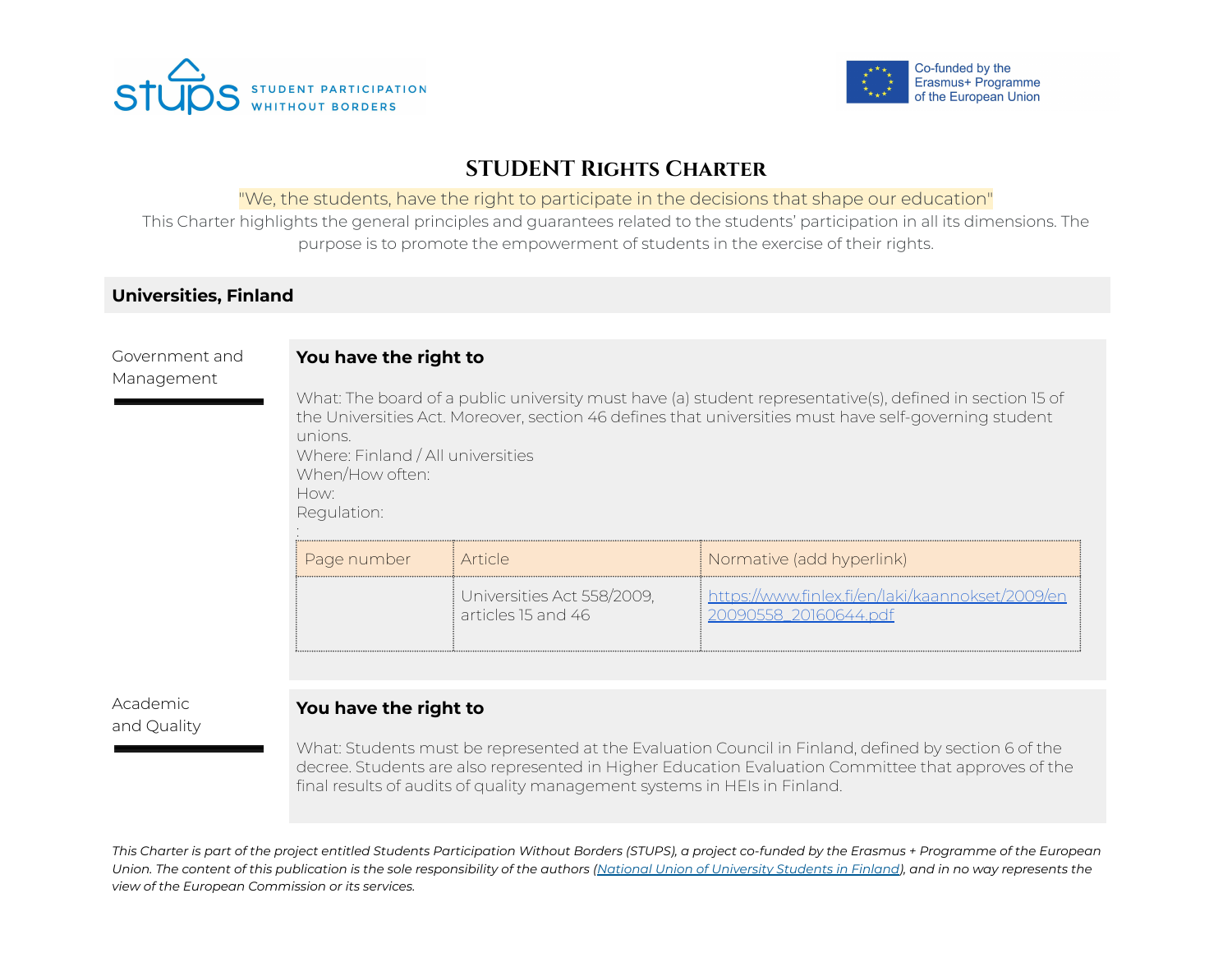



# **STUDENT Rights Charter**

### "We, the students, have the right to participate in the decisions that shape our education"

This Charter highlights the general principles and guarantees related to the students' participation in all its dimensions. The purpose is to promote the empowerment of students in the exercise of their rights.

## **Universities, Finland**

Government and Management

### **You have the right to**

What: The board of a public university must have (a) student representative(s), defined in section 15 of the Universities Act. Moreover, section 46 defines that universities must have self-governing student unions. Where: Finland / All universities When/How often: How: Regulation:

| Page number | i Article.                                       | Normative (add hyperlink)                     |
|-------------|--------------------------------------------------|-----------------------------------------------|
|             | Universities Act 558/2009,<br>articles 15 and 46 | https://www.finlex.fi/en/laki/kaannokset/2009 |

### Academic and Quality

## **You have the right to**

What: Students must be represented at the Evaluation Council in Finland, defined by section 6 of the decree. Students are also represented in Higher Education Evaluation Committee that approves of the final results of audits of quality management systems in HEIs in Finland.

This Charter is part of the project entitled Students Participation Without Borders (STUPS), a project co-funded by the Erasmus + Programme of the European Union. The content of this publication is the sole responsibility of the authors (National Union of [University](https://syl.fi/) Students in Finland), and in no way represents the *view of the European Commission or its services.*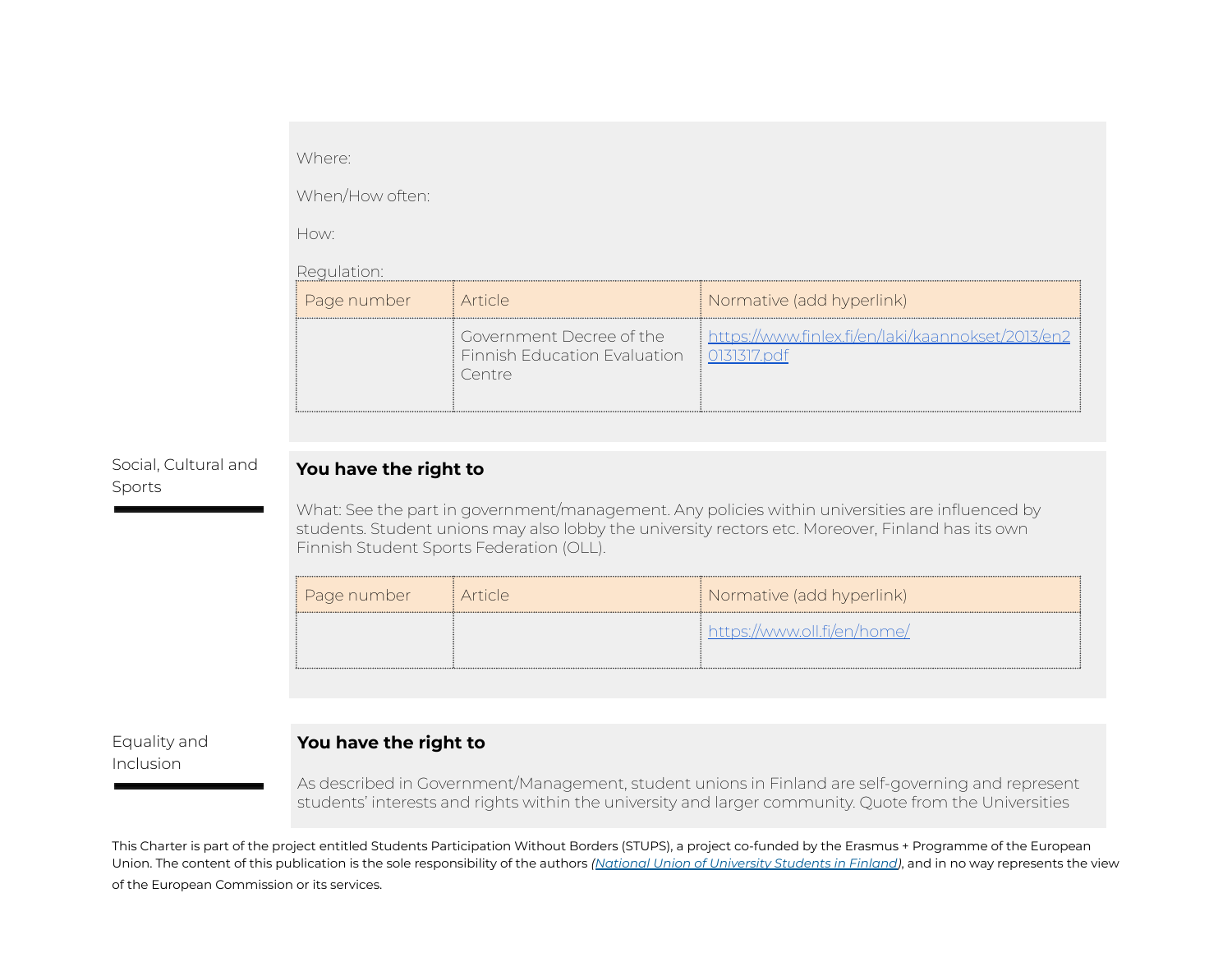#### Where:

When/How often:

How:

Regulation:

| keguidtion. |                                                                    |                                                                         |  |  |
|-------------|--------------------------------------------------------------------|-------------------------------------------------------------------------|--|--|
| Page number | i Article.                                                         | Normative (add hyperlink)                                               |  |  |
|             | Government Decree of the<br>Finnish Education Evaluation<br>Centre | https://www.finlex.fi/en/laki/kaannokset/2013/en2<br>$\mid$ 0131317.pdf |  |  |

### Social, Cultural and Sports

## **You have the right to**

What: See the part in government/management. Any policies within universities are influenced by students. Student unions may also lobby the university rectors etc. Moreover, Finland has its own Finnish Student Sports Federation (OLL).

| ‡ Page number | <i>i</i> Article | Normative (add hyperlink)   |
|---------------|------------------|-----------------------------|
|               |                  | https://www.oll.fi/en/home/ |

Equality and Inclusion

## **You have the right to**

As described in Government/Management, student unions in Finland are self-governing and represent students' interests and rights within the university and larger community. Quote from the Universities

This Charter is part of the project entitled Students Participation Without Borders (STUPS), a project co-funded by the Erasmus + Programme of the European Union. The content of this publication is the sole responsibility of the authors *(National Union of [University](https://syl.fi/) Students in Finland)*, and in no way represents the view of the European Commission or its services.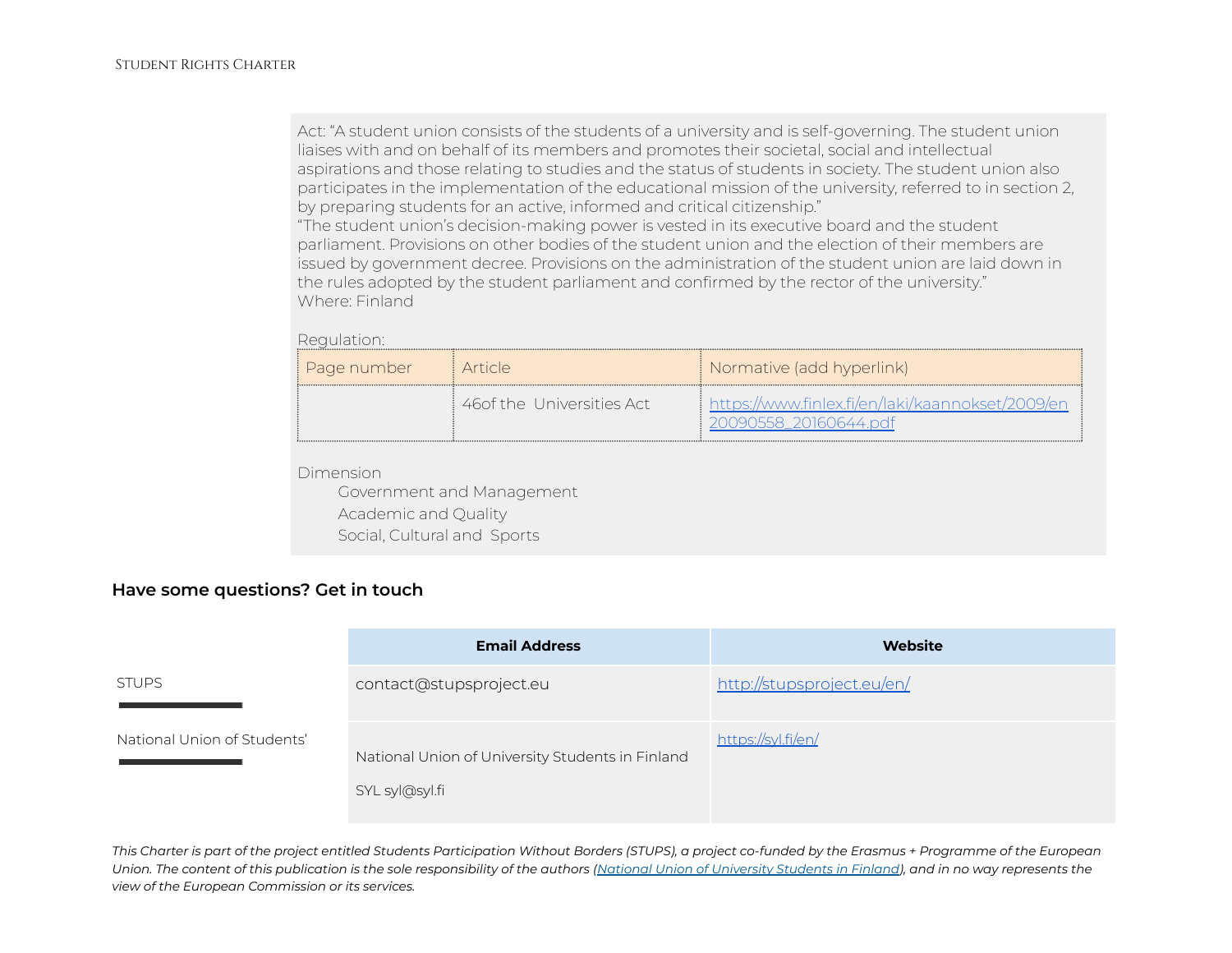Act: "A student union consists of the students of a university and is self-governing. The student union liaises with and on behalf of its members and promotes their societal, social and intellectual aspirations and those relating to studies and the status of students in society. The student union also participates in the implementation of the educational mission of the university, referred to in section 2, by preparing students for an active, informed and critical citizenship."

"The student union's decision-making power is vested in its executive board and the student parliament. Provisions on other bodies of the student union and the election of their members are issued by government decree. Provisions on the administration of the student union are laid down in the rules adopted by the student parliament and confirmed by the rector of the university." Where: Finland

Regulation:

| ‡ Page number | i Article i                | Normative (add hyperlink)                                                |
|---------------|----------------------------|--------------------------------------------------------------------------|
|               | 46 of the Universities Act | https://www.finlex.fi/en/laki/kaannokset/2009/en<br>1090558_20160644.ndf |

Dimension

Government and Management Academic and Quality Social, Cultural and Sports

### **Have some questions? Get in touch**

|                             | <b>Email Address</b>                                               | <b>Website</b>             |
|-----------------------------|--------------------------------------------------------------------|----------------------------|
| <b>STUPS</b>                | contact@stupsproject.eu                                            | http://stupsproject.eu/en/ |
| National Union of Students' | National Union of University Students in Finland<br>SYL syl@syl.fi | https://syl.fi/en/         |

This Charter is part of the project entitled Students Participation Without Borders (STUPS), a project co-funded by the Erasmus + Programme of the European Union. The content of this publication is the sole responsibility of the authors (National Union of [University](https://syl.fi/) Students in Finland), and in no way represents the *view of the European Commission or its services.*